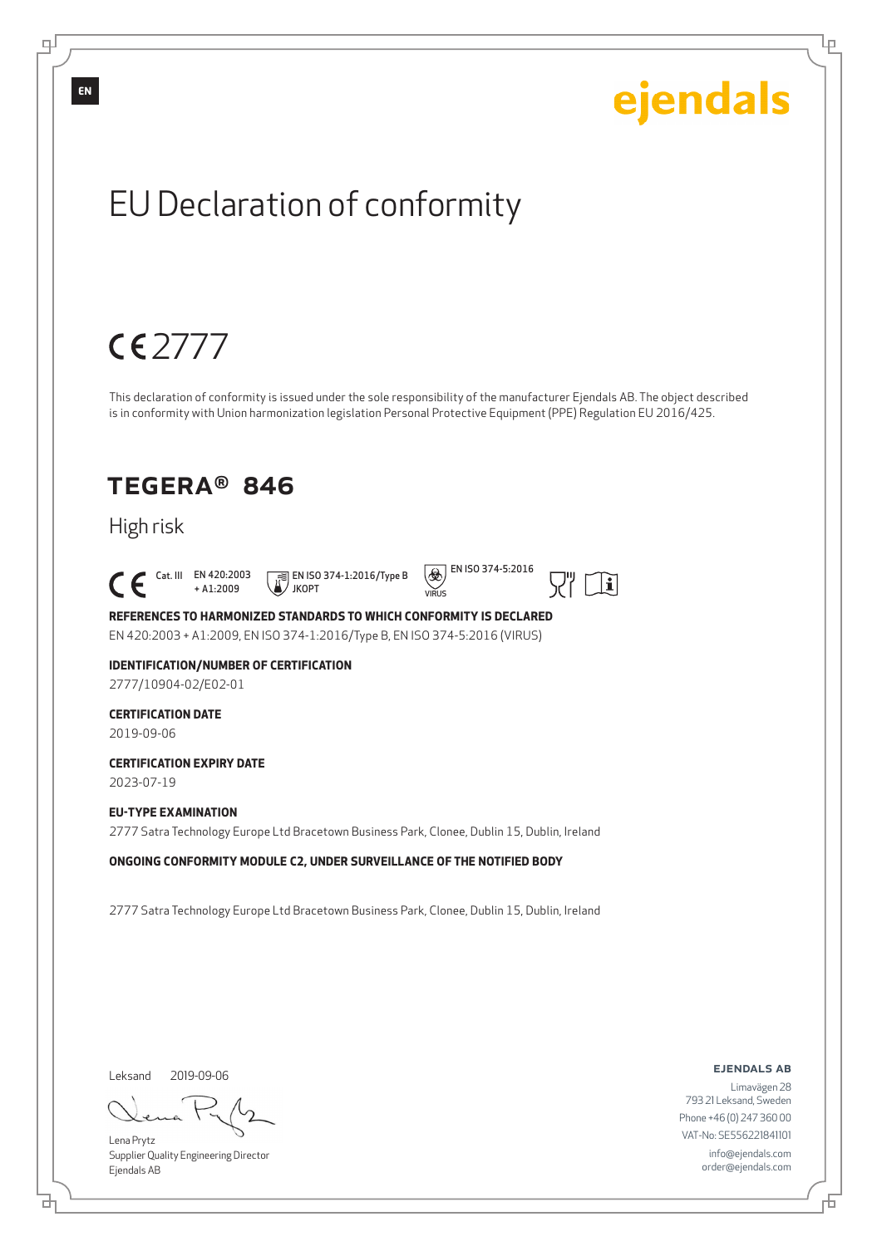

டி

Lena Prytz Supplier Quality Engineering Director Ejendals AB

브

Lр

Limavägen 28 793 21 Leksand, Sweden Phone +46 (0) 247 360 00 VAT-No: SE556221841101 info@ejendals.com order@ejendals.com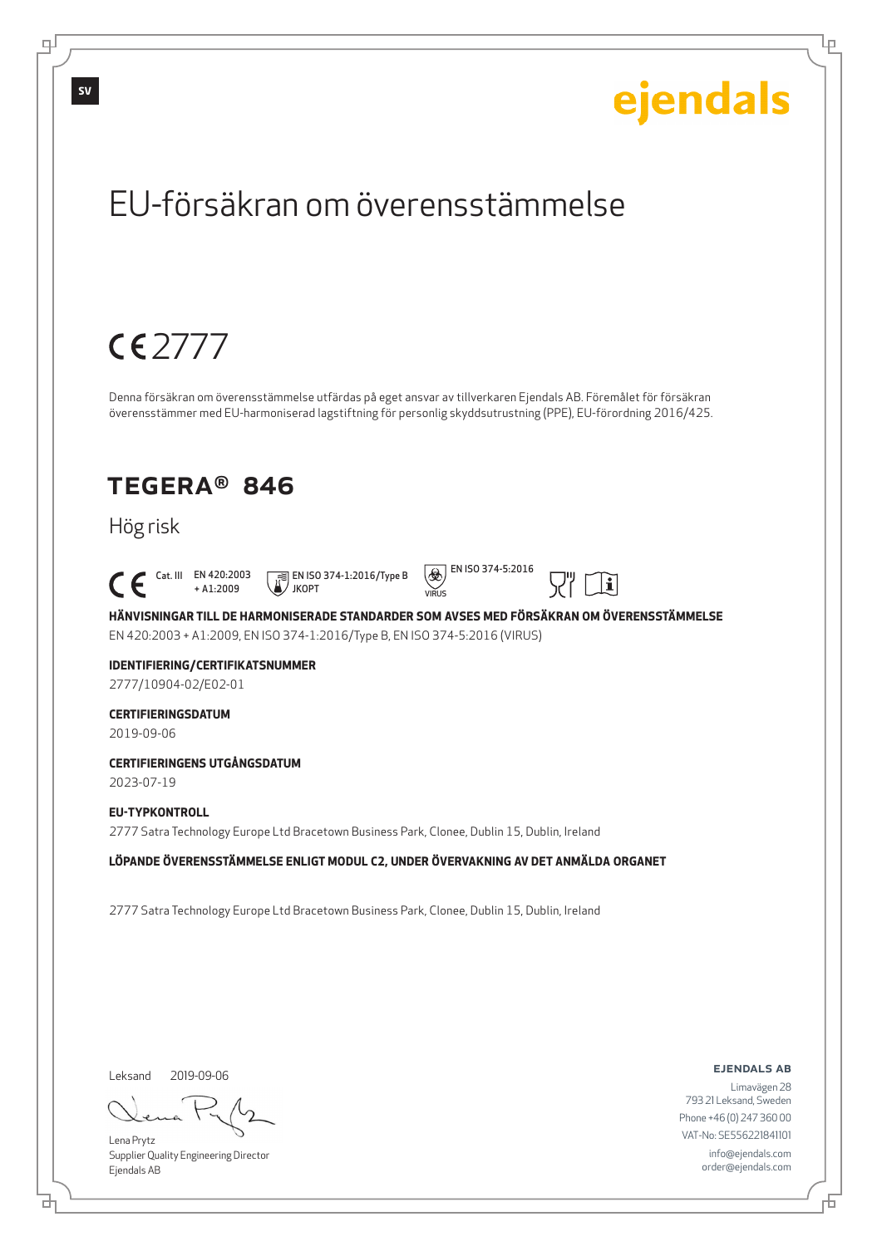Lр

## EU-försäkran om överensstämmelse

## 2777

Denna försäkran om överensstämmelse utfärdas på eget ansvar av tillverkaren Ejendals AB. Föremålet för försäkran överensstämmer med EU-harmoniserad lagstiftning för personlig skyddsutrustning (PPE), EU-förordning 2016/425.

### TEGERA® 846

### Hög risk

 Cat. III EN 420:2003 + A1:2009 JKOPT





 $|\mathbf{i}|$ 

**HÄNVISNINGAR TILL DE HARMONISERADE STANDARDER SOM AVSES MED FÖRSÄKRAN OM ÖVERENSSTÄMMELSE** EN 420:2003 + A1:2009, EN ISO 374-1:2016/Type B, EN ISO 374-5:2016 (VIRUS)

### **IDENTIFIERING/CERTIFIKATSNUMMER**

2777/10904-02/E02-01

#### **CERTIFIERINGSDATUM**

2019-09-06

#### **CERTIFIERINGENS UTGÅNGSDATUM**

2023-07-19

#### **EU-TYPKONTROLL**

2777 Satra Technology Europe Ltd Bracetown Business Park, Clonee, Dublin 15, Dublin, Ireland

#### **LÖPANDE ÖVERENSSTÄMMELSE ENLIGT MODUL C2, UNDER ÖVERVAKNING AV DET ANMÄLDA ORGANET**

2777 Satra Technology Europe Ltd Bracetown Business Park, Clonee, Dublin 15, Dublin, Ireland

Leksand 2019-09-06

브

Lena Prytz Supplier Quality Engineering Director Ejendals AB

ejendals ab

Б

Limavägen 28 793 21 Leksand, Sweden Phone +46 (0) 247 360 00 VAT-No: SE556221841101 info@ejendals.com order@ejendals.com

டி

**SV**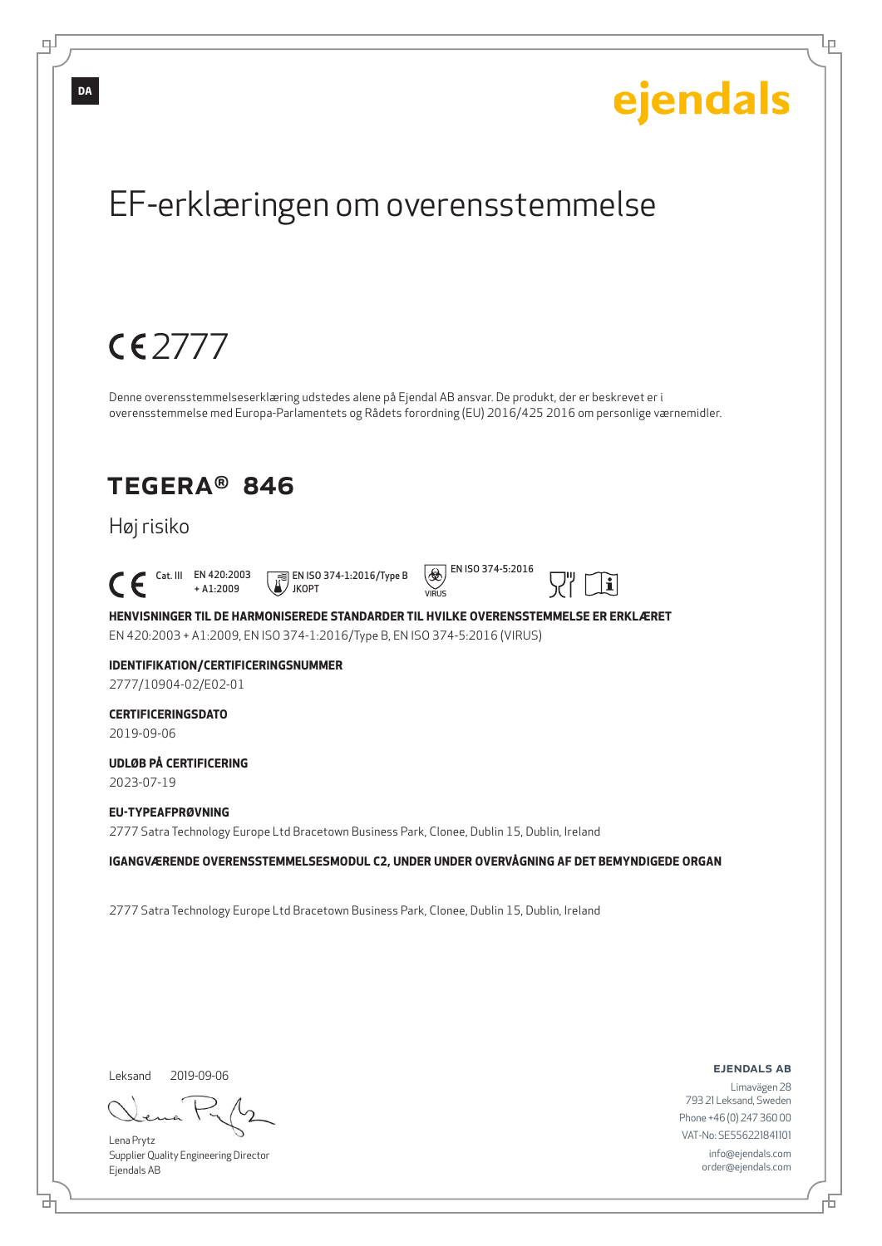

브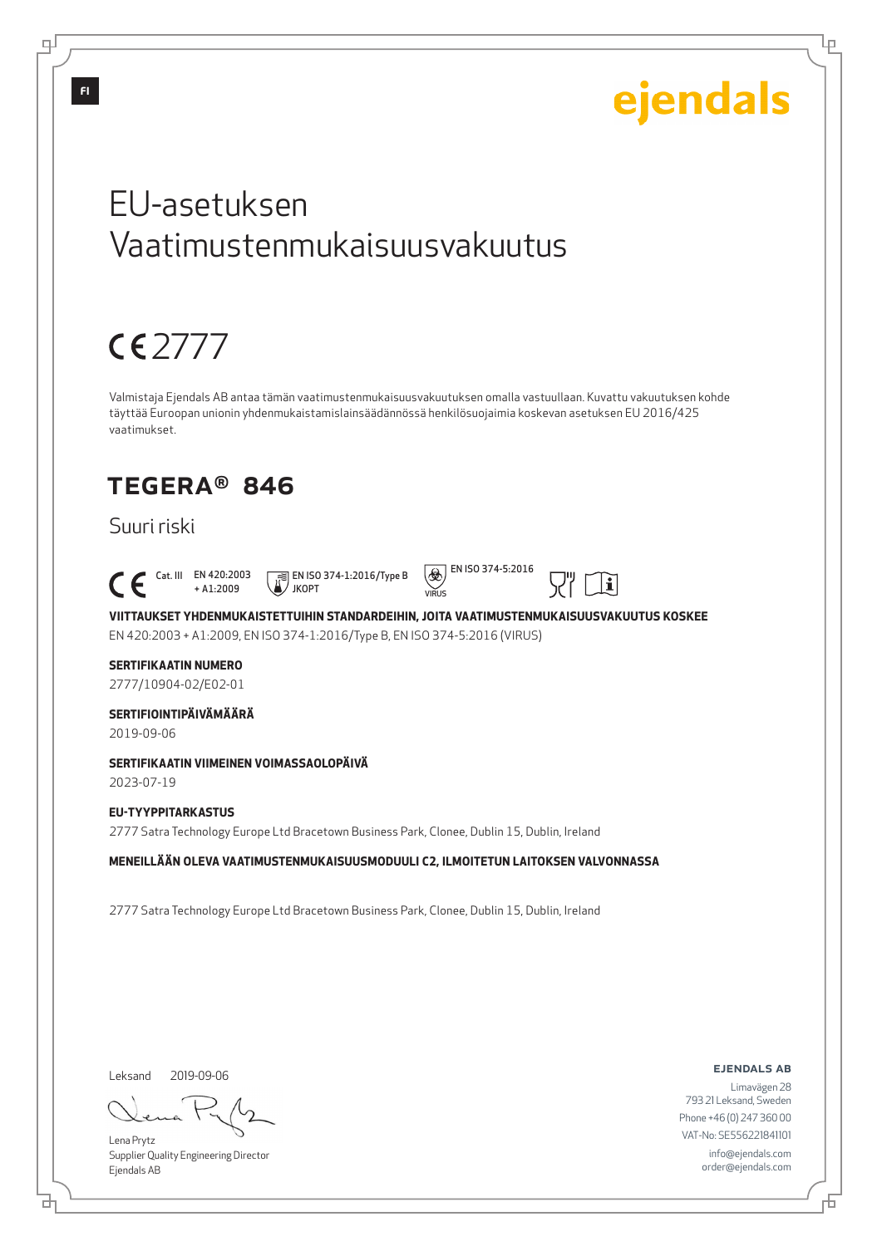Lр

## EU-asetuksen Vaatimustenmukaisuusvakuutus

## 2777

Valmistaja Ejendals AB antaa tämän vaatimustenmukaisuusvakuutuksen omalla vastuullaan. Kuvattu vakuutuksen kohde täyttää Euroopan unionin yhdenmukaistamislainsäädännössä henkilösuojaimia koskevan asetuksen EU 2016/425 vaatimukset.

## TEGERA® 846

### Suuri riski

Cat. III EN 420:2003

+ A1:2009 EN ISO 374-1:2016/Type B JKOPT



 $|<sub>i</sub>$ 



#### **SERTIFIKAATIN NUMERO**

2777/10904-02/E02-01

#### **SERTIFIOINTIPÄIVÄMÄÄRÄ**

2019-09-06

#### **SERTIFIKAATIN VIIMEINEN VOIMASSAOLOPÄIVÄ**

2023-07-19

#### **EU-TYYPPITARKASTUS**

2777 Satra Technology Europe Ltd Bracetown Business Park, Clonee, Dublin 15, Dublin, Ireland

#### **MENEILLÄÄN OLEVA VAATIMUSTENMUKAISUUSMODUULI C2, ILMOITETUN LAITOKSEN VALVONNASSA**

2777 Satra Technology Europe Ltd Bracetown Business Park, Clonee, Dublin 15, Dublin, Ireland

Leksand 2019-09-06

d

Lena Prytz Supplier Quality Engineering Director Ejendals AB

ejendals ab

Б

Limavägen 28 793 21 Leksand, Sweden Phone +46 (0) 247 360 00 VAT-No: SE556221841101 info@ejendals.com order@ejendals.com

டி

**FI**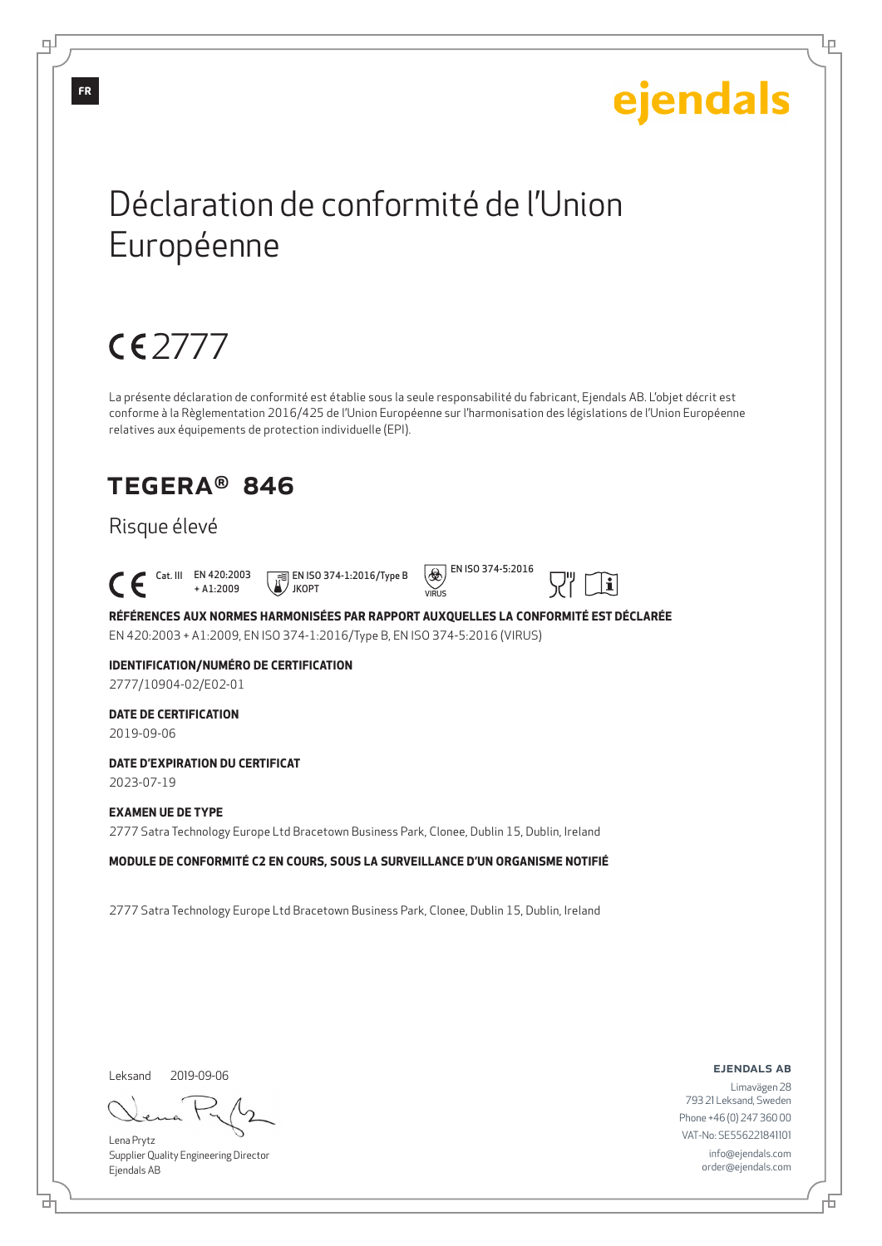Lр

## Déclaration de conformité de l'Union Européenne

## 2777

La présente déclaration de conformité est établie sous la seule responsabilité du fabricant, Ejendals AB. L'objet décrit est conforme à la Règlementation 2016/425 de l'Union Européenne sur l'harmonisation des législations de l'Union Européenne relatives aux équipements de protection individuelle (EPI).

VIRUS

## TEGERA® 846

### Risque élevé

Cat. III EN 420:2003

+ A1:2009 JKOPT

EN ISO 374-1:2016/Type B



 $|\mathbf{i}|$ 

**RÉFÉRENCES AUX NORMES HARMONISÉES PAR RAPPORT AUXQUELLES LA CONFORMITÉ EST DÉCLARÉE** EN 420:2003 + A1:2009, EN ISO 374-1:2016/Type B, EN ISO 374-5:2016 (VIRUS)

### **IDENTIFICATION/NUMÉRO DE CERTIFICATION**

2777/10904-02/E02-01

### **DATE DE CERTIFICATION**

2019-09-06

#### **DATE D'EXPIRATION DU CERTIFICAT**

2023-07-19

#### **EXAMEN UE DE TYPE**

2777 Satra Technology Europe Ltd Bracetown Business Park, Clonee, Dublin 15, Dublin, Ireland

**MODULE DE CONFORMITÉ C2 EN COURS, SOUS LA SURVEILLANCE D'UN ORGANISME NOTIFIÉ**

2777 Satra Technology Europe Ltd Bracetown Business Park, Clonee, Dublin 15, Dublin, Ireland

Leksand 2019-09-06

브

Lena Prytz Supplier Quality Engineering Director Ejendals AB

ejendals ab

Б

Limavägen 28 793 21 Leksand, Sweden Phone +46 (0) 247 360 00 VAT-No: SE556221841101 info@ejendals.com order@ejendals.com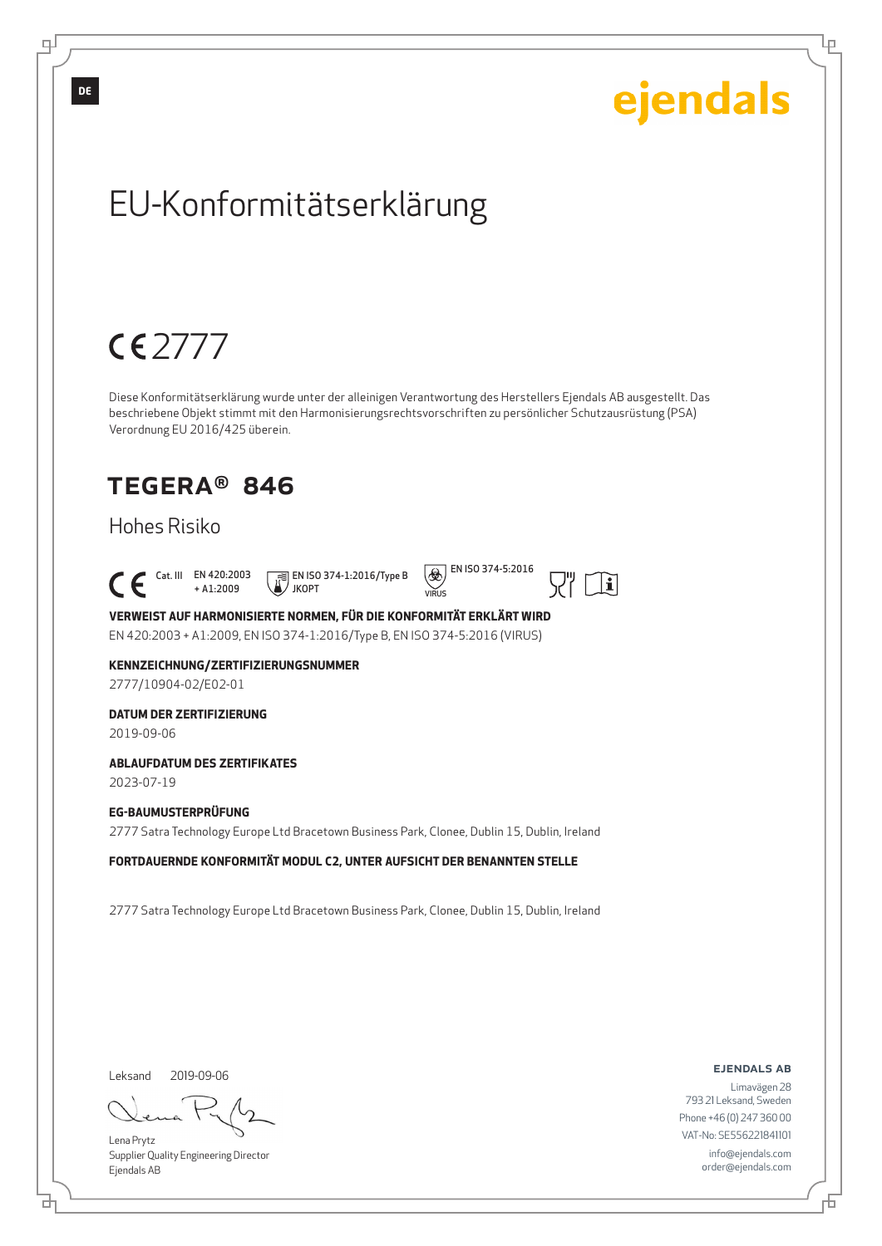

Leksand 2019-09-06

브

டி

Lena Prytz Supplier Quality Engineering Director Ejendals AB

ejendals ab

Limavägen 28 793 21 Leksand, Sweden Phone +46 (0) 247 360 00 VAT-No: SE556221841101 info@ejendals.com order@ejendals.com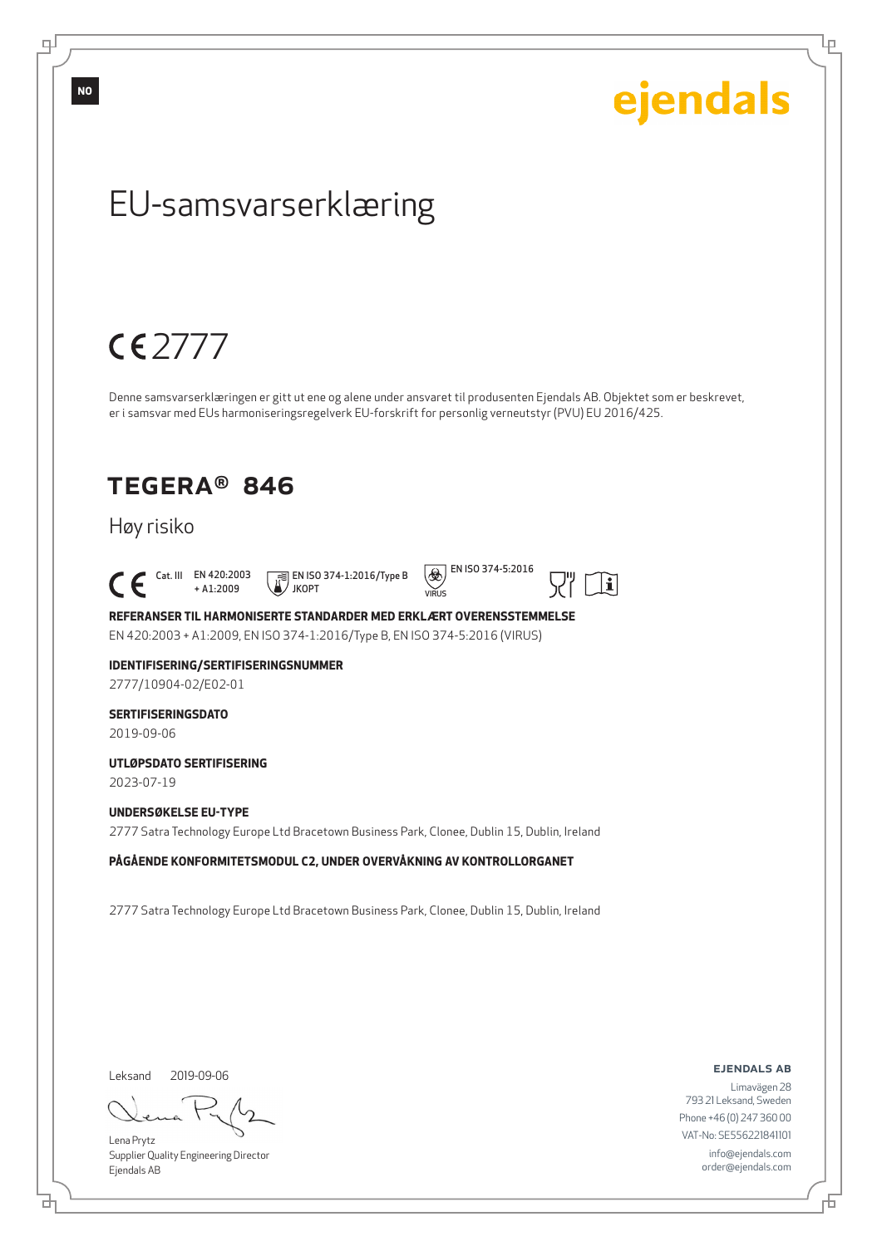

**NO**

டி

Leksand 2019-09-06

브

Lena Prytz Supplier Quality Engineering Director Ejendals AB

ejendals ab

Limavägen 28 793 21 Leksand, Sweden Phone +46 (0) 247 360 00 VAT-No: SE556221841101 info@ejendals.com order@ejendals.com

舌

Lр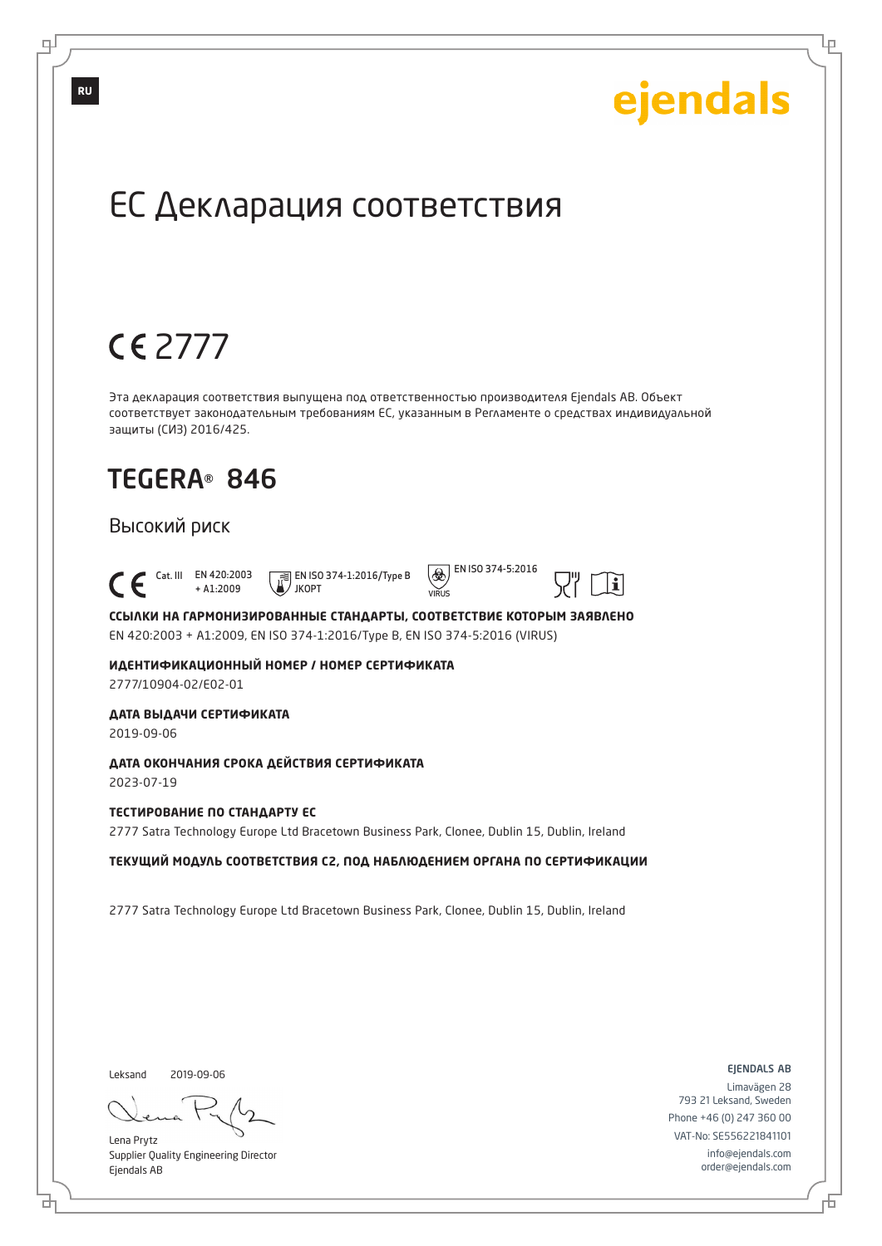Lр

## ЕС Декларация соответствия

## 2777

Эта декларация соответствия выпущена под ответственностью производителя Ejendals AB. Объект соответствует законодательным требованиям ЕС, указанным в Регламенте о средствах индивидуальной защиты (СИЗ) 2016/425.

## TEGERA® 846

#### Высокий риск

 Cat. III EN 420:2003 + A1:2009 JKOPT



 $\circled{)}$  EN ISO 374-5:2016  $VIDIR$ 



**ССЫЛКИ НА ГАРМОНИЗИРОВАННЫЕ СТАНДАРТЫ, СООТВЕТСТВИЕ КОТОРЫМ ЗАЯВЛЕНО** EN 420:2003 + A1:2009, EN ISO 374-1:2016/Type B, EN ISO 374-5:2016 (VIRUS)

**ИДЕНТИФИКАЦИОННЫЙ НОМЕР / НОМЕР СЕРТИФИКАТА** 2777/10904-02/E02-01

**ДАТА ВЫДАЧИ СЕРТИФИКАТА**

2019-09-06

#### **ДАТА ОКОНЧАНИЯ СРОКА ДЕЙСТВИЯ СЕРТИФИКАТА**

2023-07-19

#### **ТЕСТИРОВАНИЕ ПО СТАНДАРТУ ЕС**

2777 Satra Technology Europe Ltd Bracetown Business Park, Clonee, Dublin 15, Dublin, Ireland

#### **ТЕКУЩИЙ МОДУЛЬ СООТВЕТСТВИЯ C2, ПОД НАБЛЮДЕНИЕМ ОРГАНА ПО СЕРТИФИКАЦИИ**

2777 Satra Technology Europe Ltd Bracetown Business Park, Clonee, Dublin 15, Dublin, Ireland

Leksand

₫

2019-09-06

Lena Prytz Supplier Quality Engineering Director Ejendals AB

ejendals ab

舌

Limavägen 28 793 21 Leksand, Sweden Phone +46 (0) 247 360 00 VAT-No: SE556221841101 info@ejendals.com order@ejendals.com

டி

**RU**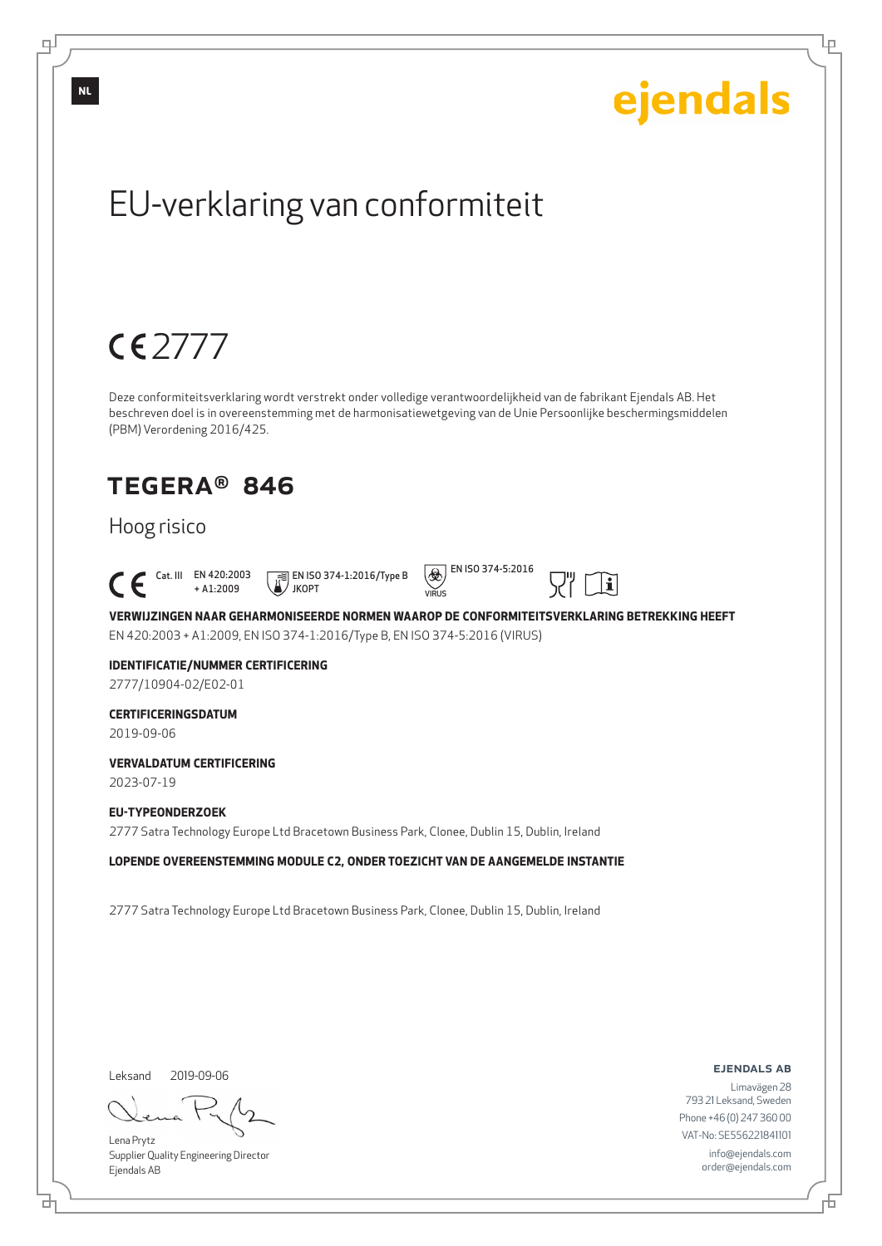

Lena Prytz

டி

Supplier Quality Engineering Director Ejendals AB

브

Lр

793 21 Leksand, Sweden Phone +46 (0) 247 360 00 VAT-No: SE556221841101 info@ejendals.com order@ejendals.com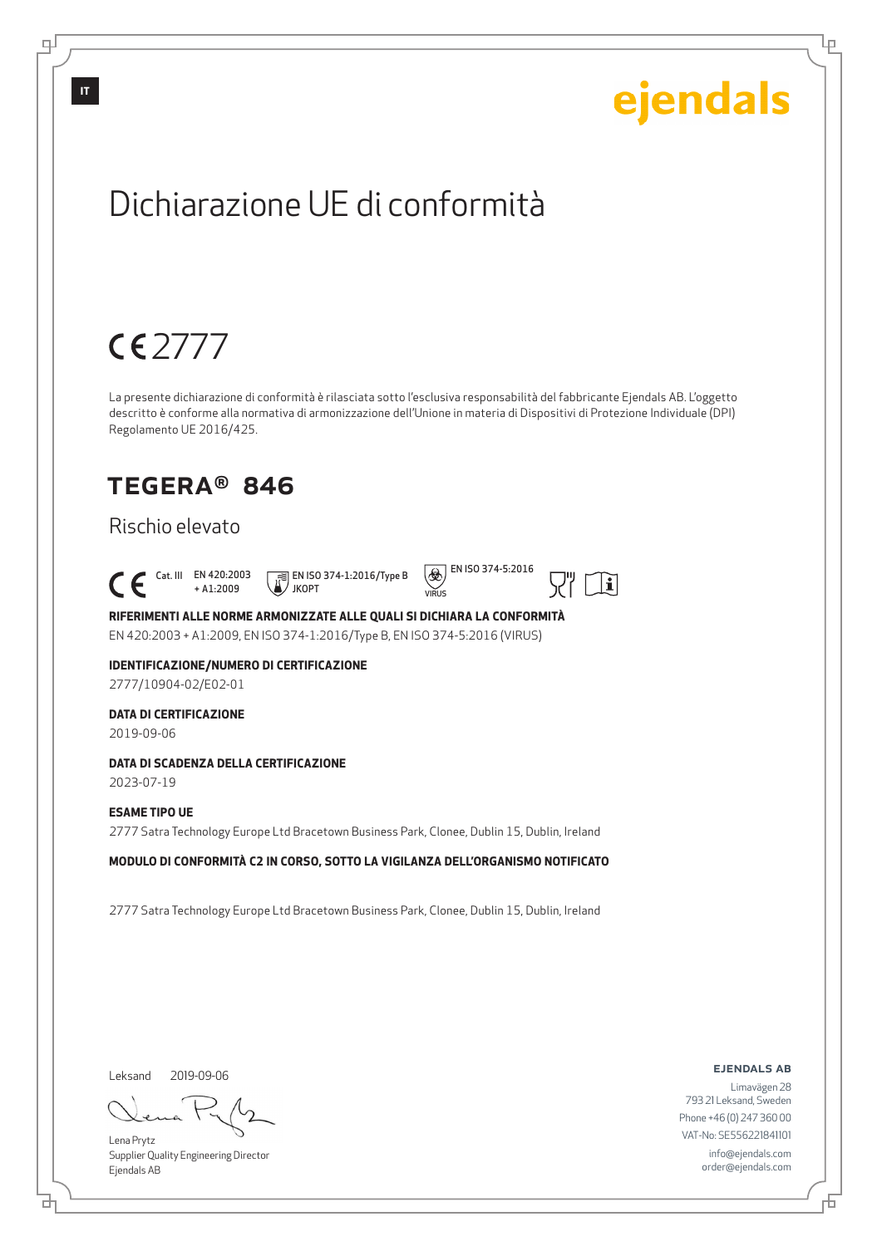## ejendals Dichiarazione UE di conformità 2777 La presente dichiarazione di conformità è rilasciata sotto l'esclusiva responsabilità del fabbricante Ejendals AB. L'oggetto descritto è conforme alla normativa di armonizzazione dell'Unione in materia di Dispositivi di Protezione Individuale (DPI) Regolamento UE 2016/425. TEGERA® 846 Rischio elevato  $\left(\bigotimes\limits_{i=1}^{\infty}\right)$  EN ISO 374-5:2016 Cat. III EN 420:2003 EN ISO 374-1:2016/Type B  $|\mathbf{i}|$ + A1:2009 JKOPT  $VIDIR$ **RIFERIMENTI ALLE NORME ARMONIZZATE ALLE QUALI SI DICHIARA LA CONFORMITÀ** EN 420:2003 + A1:2009, EN ISO 374-1:2016/Type B, EN ISO 374-5:2016 (VIRUS) **IDENTIFICAZIONE/NUMERO DI CERTIFICAZIONE** 2777/10904-02/E02-01 **DATA DI CERTIFICAZIONE** 2019-09-06 **DATA DI SCADENZA DELLA CERTIFICAZIONE** 2023-07-19 **ESAME TIPO UE** 2777 Satra Technology Europe Ltd Bracetown Business Park, Clonee, Dublin 15, Dublin, Ireland **MODULO DI CONFORMITÀ C2 IN CORSO, SOTTO LA VIGILANZA DELL'ORGANISMO NOTIFICATO** 2777 Satra Technology Europe Ltd Bracetown Business Park, Clonee, Dublin 15, Dublin, Ireland

Leksand 2019-09-06

브

**IT**

டி

Lena Prytz Supplier Quality Engineering Director Ejendals AB

ejendals ab

Lр

Limavägen 28 793 21 Leksand, Sweden Phone +46 (0) 247 360 00 VAT-No: SE556221841101 info@ejendals.com order@ejendals.com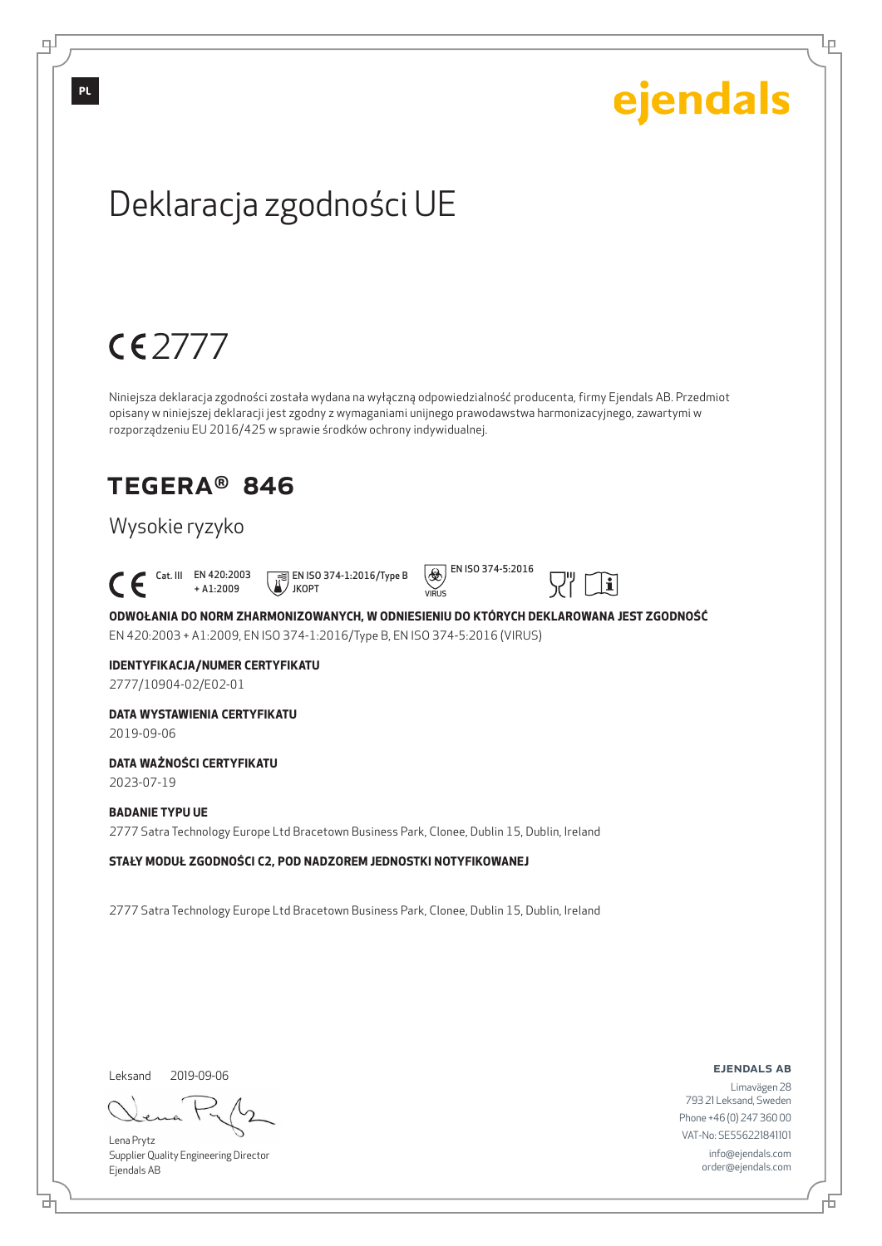Lр

## Deklaracja zgodności UE

## 2777

Niniejsza deklaracja zgodności została wydana na wyłączną odpowiedzialność producenta, firmy Ejendals AB. Przedmiot opisany w niniejszej deklaracji jest zgodny z wymaganiami unijnego prawodawstwa harmonizacyjnego, zawartymi w rozporządzeniu EU 2016/425 w sprawie środków ochrony indywidualnej.

## TEGERA® 846

### Wysokie ryzyko

Cat. III EN 420:2003

+ A1:2009 EN ISO 374-1:2016/Type B JKOPT





 $|\mathbf{i}|$ 

**ODWOŁANIA DO NORM ZHARMONIZOWANYCH, W ODNIESIENIU DO KTÓRYCH DEKLAROWANA JEST ZGODNOŚĆ** EN 420:2003 + A1:2009, EN ISO 374-1:2016/Type B, EN ISO 374-5:2016 (VIRUS)

#### **IDENTYFIKACJA/NUMER CERTYFIKATU**

2777/10904-02/E02-01

### **DATA WYSTAWIENIA CERTYFIKATU**

2019-09-06

#### **DATA WAŻNOŚCI CERTYFIKATU**

2023-07-19

#### **BADANIE TYPU UE**

2777 Satra Technology Europe Ltd Bracetown Business Park, Clonee, Dublin 15, Dublin, Ireland

**STAŁY MODUŁ ZGODNOŚCI C2, POD NADZOREM JEDNOSTKI NOTYFIKOWANEJ**

2777 Satra Technology Europe Ltd Bracetown Business Park, Clonee, Dublin 15, Dublin, Ireland

Leksand 2019-09-06

브

Lena Prytz Supplier Quality Engineering Director Ejendals AB

ejendals ab

Б

Limavägen 28 793 21 Leksand, Sweden Phone +46 (0) 247 360 00 VAT-No: SE556221841101 info@ejendals.com order@ejendals.com

**PL**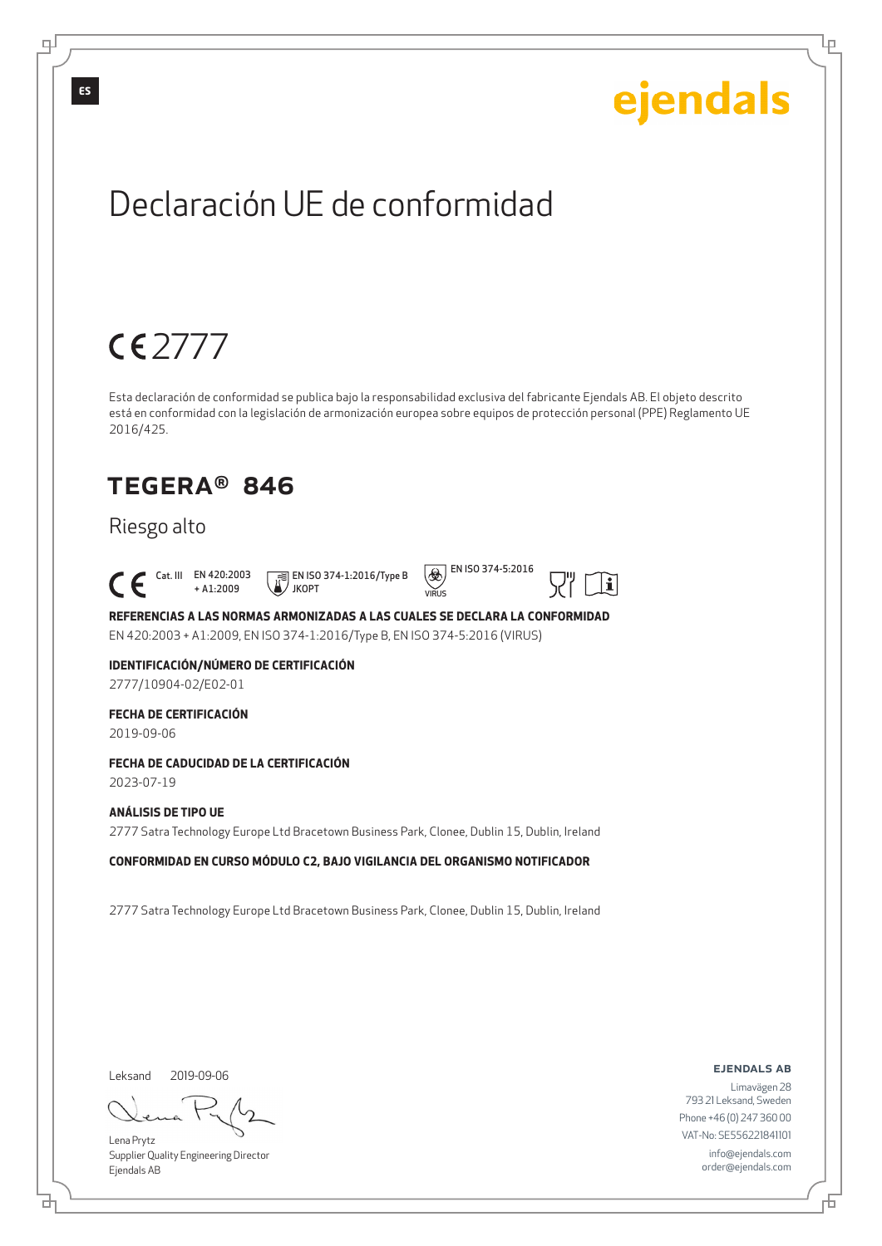Lр

## Declaración UE de conformidad

## 2777

Esta declaración de conformidad se publica bajo la responsabilidad exclusiva del fabricante Ejendals AB. El objeto descrito está en conformidad con la legislación de armonización europea sobre equipos de protección personal (PPE) Reglamento UE 2016/425.

 $VIDIR$ 

 $\circledast$  EN ISO 374-5:2016

## TEGERA® 846

### Riesgo alto

 Cat. III EN 420:2003 + A1:2009 EN ISO 374-1:2016/Type B JKOPT



**REFERENCIAS A LAS NORMAS ARMONIZADAS A LAS CUALES SE DECLARA LA CONFORMIDAD** EN 420:2003 + A1:2009, EN ISO 374-1:2016/Type B, EN ISO 374-5:2016 (VIRUS)

### **IDENTIFICACIÓN/NÚMERO DE CERTIFICACIÓN**

2777/10904-02/E02-01

### **FECHA DE CERTIFICACIÓN**

2019-09-06

#### **FECHA DE CADUCIDAD DE LA CERTIFICACIÓN**

2023-07-19

#### **ANÁLISIS DE TIPO UE** 2777 Satra Technology Europe Ltd Bracetown Business Park, Clonee, Dublin 15, Dublin, Ireland

**CONFORMIDAD EN CURSO MÓDULO C2, BAJO VIGILANCIA DEL ORGANISMO NOTIFICADOR**

2777 Satra Technology Europe Ltd Bracetown Business Park, Clonee, Dublin 15, Dublin, Ireland

Leksand 2019-09-06

브

Lena Prytz Supplier Quality Engineering Director Ejendals AB

ejendals ab

Б

Limavägen 28 793 21 Leksand, Sweden Phone +46 (0) 247 360 00 VAT-No: SE556221841101 info@ejendals.com order@ejendals.com

**ES**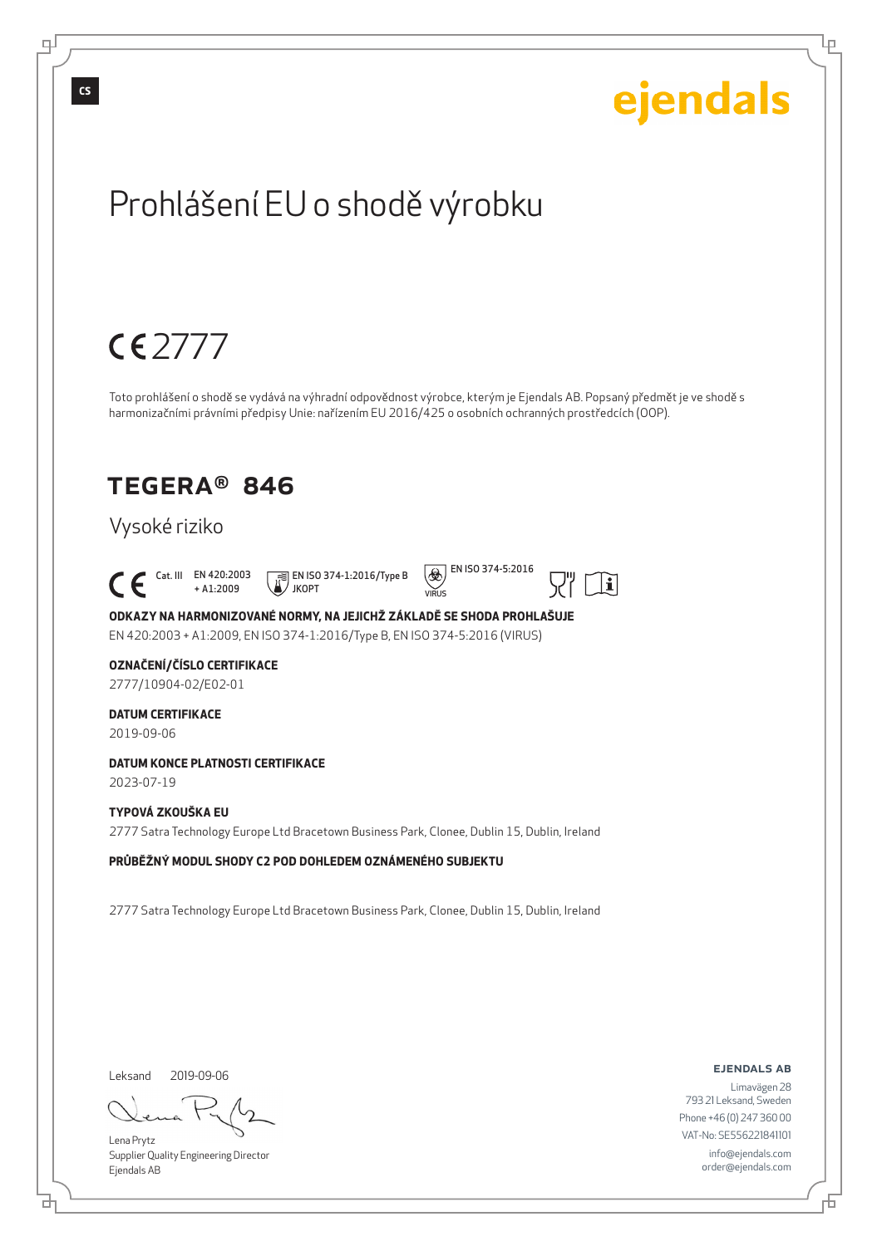

Lena Prytz Supplier Quality Engineering Director Ejendals AB

VAT-No: SE556221841101 info@ejendals.com order@ejendals.com

Б

브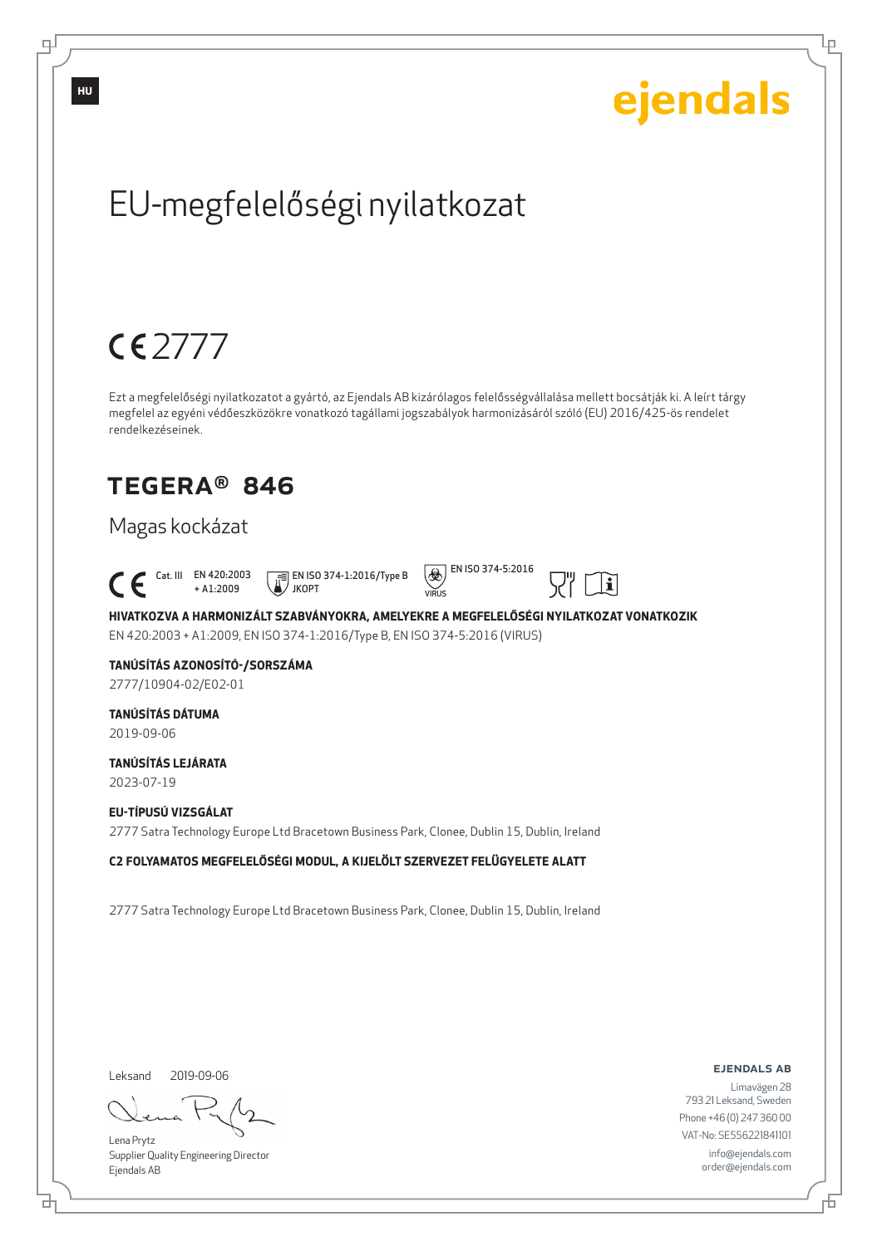

Lena Prytz

டி

Supplier Quality Engineering Director Ejendals AB

브

793 21 Leksand, Sweden Phone +46 (0) 247 360 00 VAT-No: SE556221841101 info@ejendals.com order@ejendals.com

Б

Lр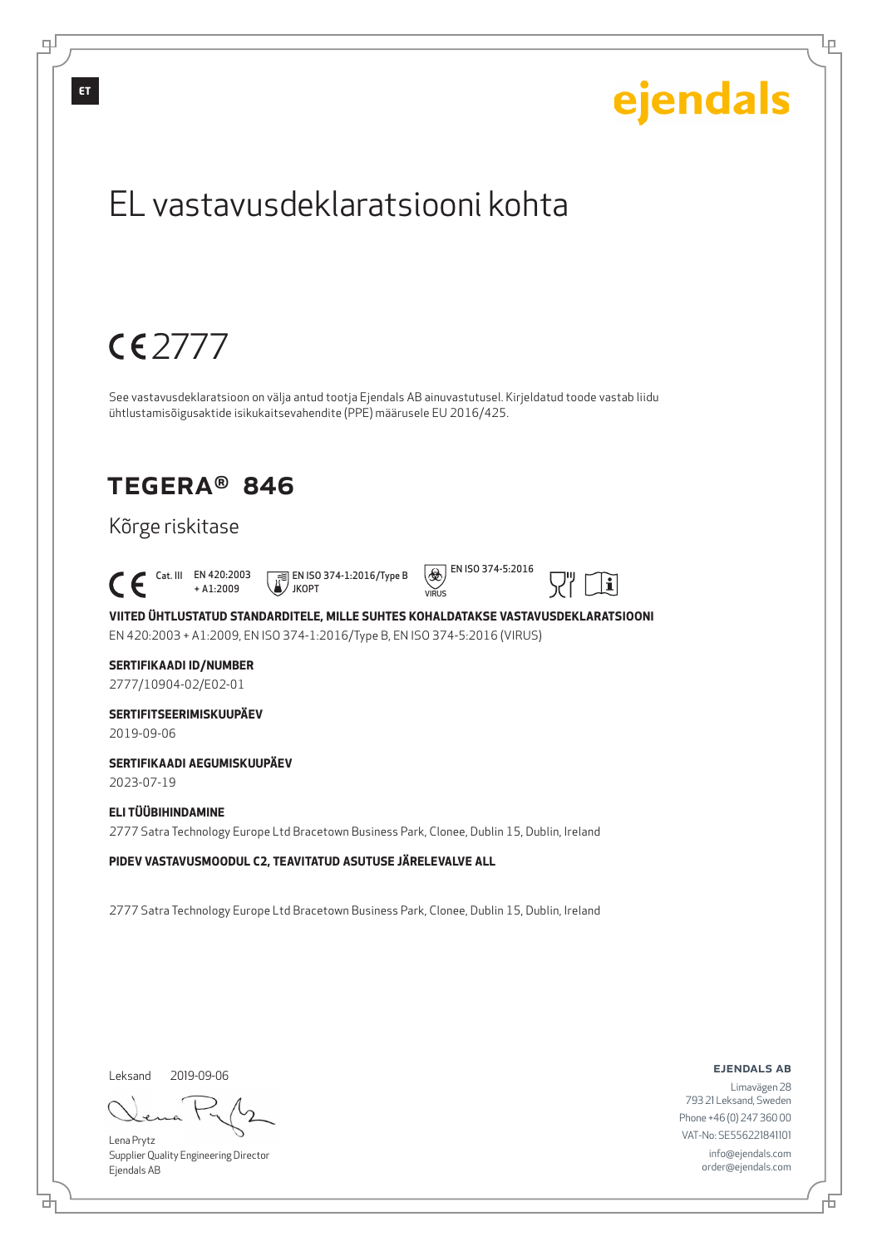

Supplier Quality Engineering Director Ejendals AB

info@ejendals.com order@ejendals.com

브

டி

Lр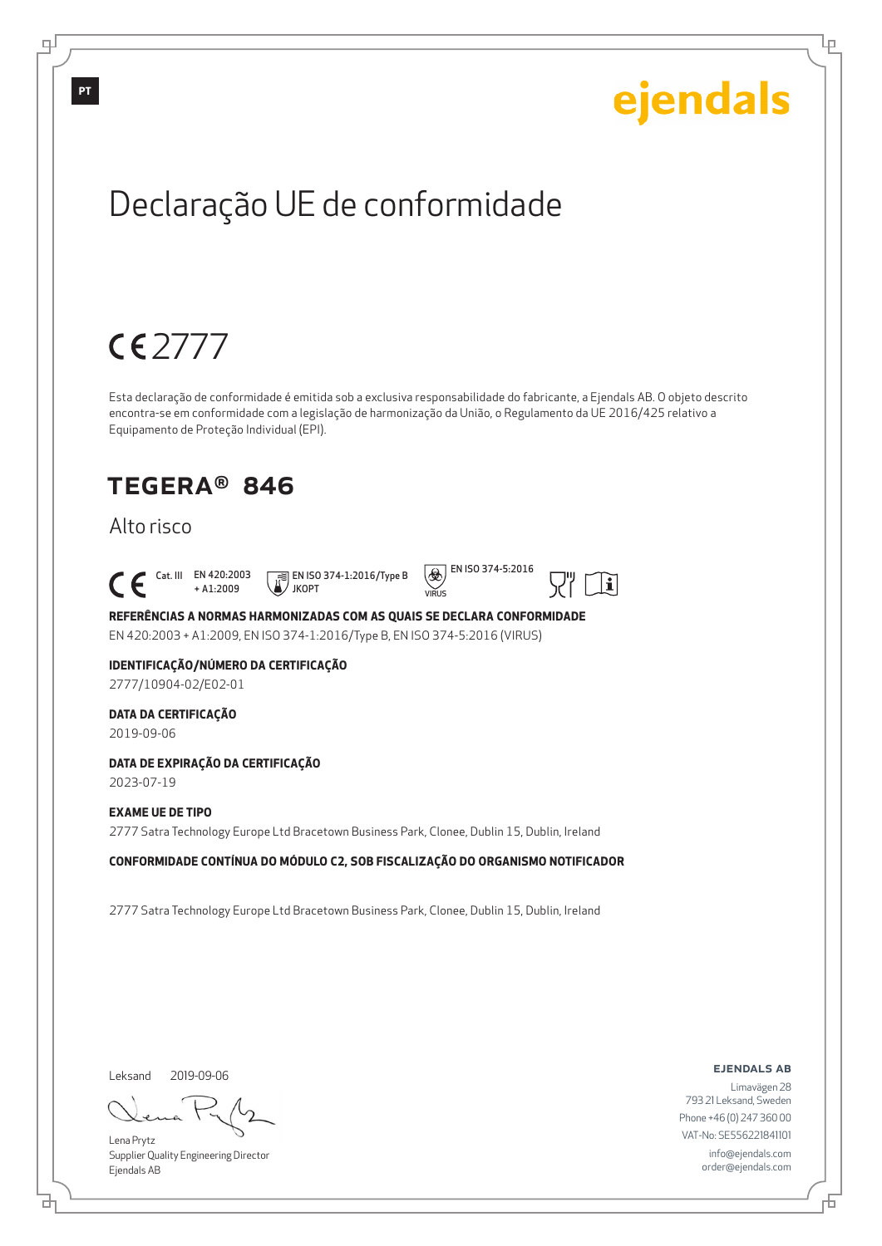Lр

## Declaração UE de conformidade

## 2777

Esta declaração de conformidade é emitida sob a exclusiva responsabilidade do fabricante, a Ejendals AB. O objeto descrito encontra-se em conformidade com a legislação de harmonização da União, o Regulamento da UE 2016/425 relativo a Equipamento de Proteção Individual (EPI).

VIRUS

## TEGERA® 846

### Alto risco

 Cat. III EN 420:2003 + A1:2009 JKOPT

EN ISO 374-1:2016/Type B



 $|\mathbf{i}|$ 

**REFERÊNCIAS A NORMAS HARMONIZADAS COM AS QUAIS SE DECLARA CONFORMIDADE** EN 420:2003 + A1:2009, EN ISO 374-1:2016/Type B, EN ISO 374-5:2016 (VIRUS)

#### **IDENTIFICAÇÃO/NÚMERO DA CERTIFICAÇÃO**

2777/10904-02/E02-01

#### **DATA DA CERTIFICAÇÃO**

2019-09-06

#### **DATA DE EXPIRAÇÃO DA CERTIFICAÇÃO**

2023-07-19

#### **EXAME UE DE TIPO**

2777 Satra Technology Europe Ltd Bracetown Business Park, Clonee, Dublin 15, Dublin, Ireland

#### **CONFORMIDADE CONTÍNUA DO MÓDULO C2, SOB FISCALIZAÇÃO DO ORGANISMO NOTIFICADOR**

2777 Satra Technology Europe Ltd Bracetown Business Park, Clonee, Dublin 15, Dublin, Ireland

Leksand 2019-09-06

브

Lena Prytz Supplier Quality Engineering Director Ejendals AB

ejendals ab

Б

Limavägen 28 793 21 Leksand, Sweden Phone +46 (0) 247 360 00 VAT-No: SE556221841101 info@ejendals.com order@ejendals.com

டி

**PT**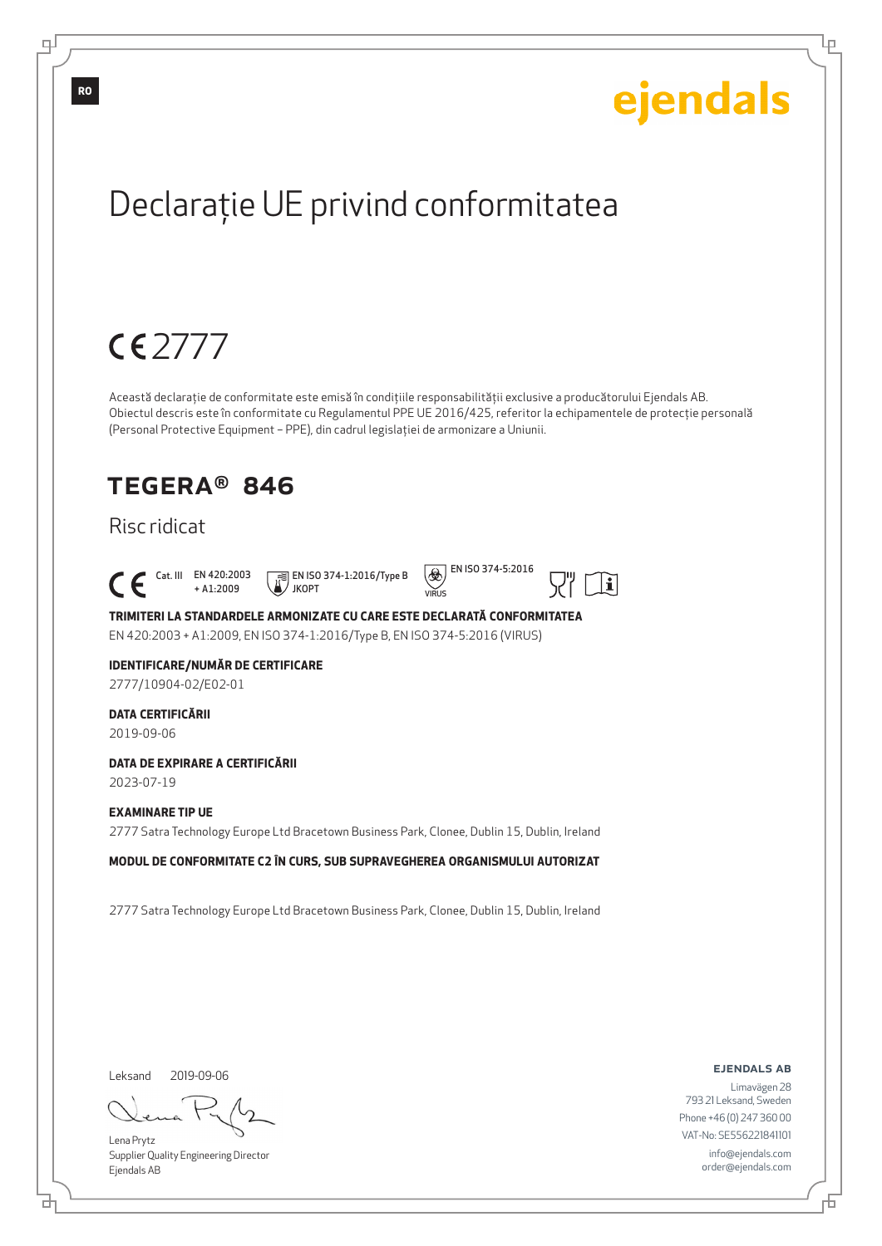Lр

## Declaraţie UE privind conformitatea

## 2777

Această declaraţie de conformitate este emisă în condiţiile responsabilităţii exclusive a producătorului Ejendals AB. Obiectul descris este în conformitate cu Regulamentul PPE UE 2016/425, referitor la echipamentele de protecţie personală (Personal Protective Equipment – PPE), din cadrul legislaţiei de armonizare a Uniunii.

### TEGERA® 846

### Risc ridicat

Cat. III EN 420:2003

+ A1:2009 EN ISO 374-1:2016/Type B JKOPT



 $|\mathbf{i}|$ 

VIRUS **TRIMITERI LA STANDARDELE ARMONIZATE CU CARE ESTE DECLARATĂ CONFORMITATEA**

EN 420:2003 + A1:2009, EN ISO 374-1:2016/Type B, EN ISO 374-5:2016 (VIRUS)

#### **IDENTIFICARE/NUMĂR DE CERTIFICARE**

2777/10904-02/E02-01

#### **DATA CERTIFICĂRII**

2019-09-06

#### **DATA DE EXPIRARE A CERTIFICĂRII**

2023-07-19

#### **EXAMINARE TIP UE**

2777 Satra Technology Europe Ltd Bracetown Business Park, Clonee, Dublin 15, Dublin, Ireland

**MODUL DE CONFORMITATE C2 ÎN CURS, SUB SUPRAVEGHEREA ORGANISMULUI AUTORIZAT**

2777 Satra Technology Europe Ltd Bracetown Business Park, Clonee, Dublin 15, Dublin, Ireland

Leksand 2019-09-06

₫

Lena Prytz Supplier Quality Engineering Director Ejendals AB

ejendals ab

Б

Limavägen 28 793 21 Leksand, Sweden Phone +46 (0) 247 360 00 VAT-No: SE556221841101 info@ejendals.com order@ejendals.com

**RO**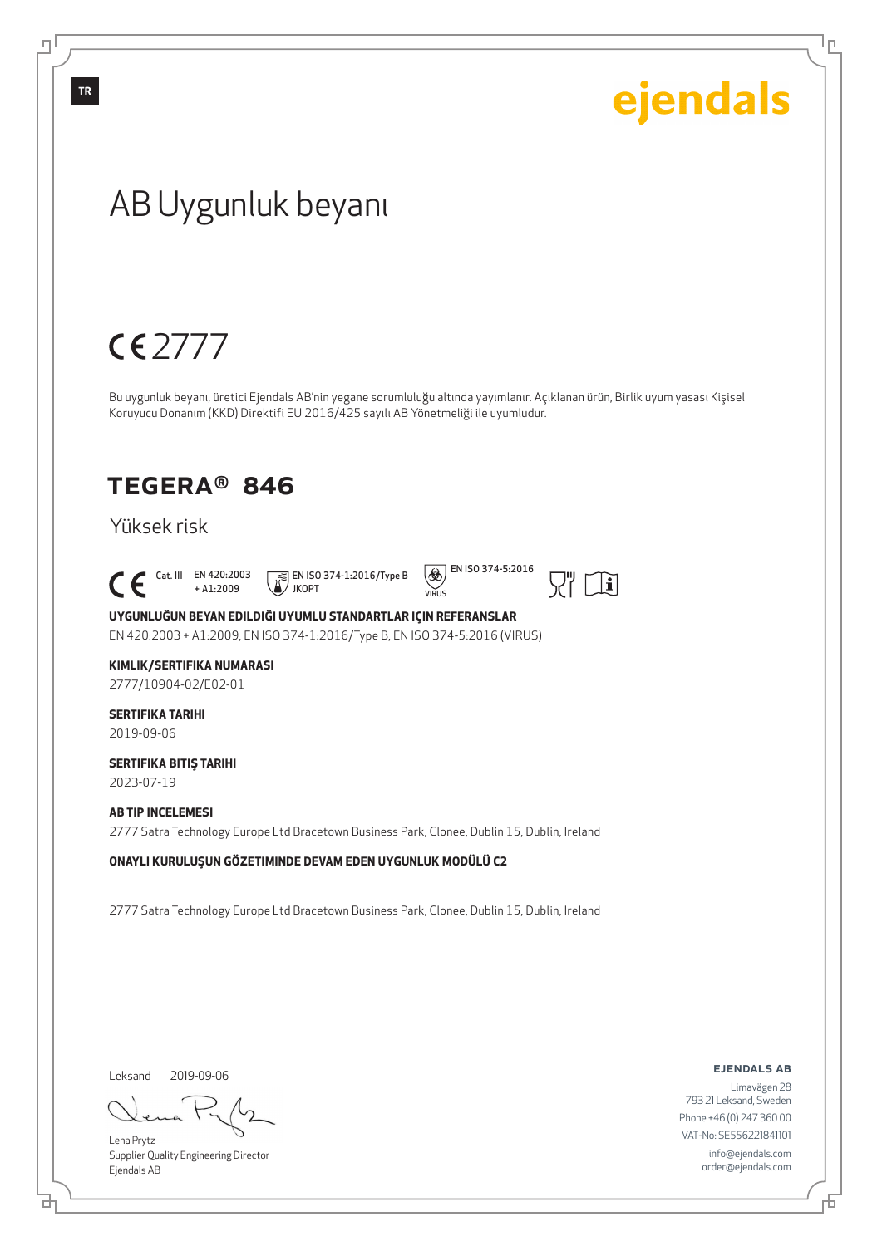Ļμ

## AB Uygunluk beyanı

## 2777

Bu uygunluk beyanı, üretici Ejendals AB'nin yegane sorumluluğu altında yayımlanır. Açıklanan ürün, Birlik uyum yasası Kişisel Koruyucu Donanım (KKD) Direktifi EU 2016/425 sayılı AB Yönetmeliği ile uyumludur.

### TEGERA® 846

### Yüksek risk

 $\begin{bmatrix} \begin{array}{ccc} \text{Cat. III} & \text{EN } 420:2003 \\ + \text{A1:2009} \end{array} \end{bmatrix}$ 

+ A1:2009 EN ISO 374-1:2016/Type B JKOPT

 $VIDIR$ 



**UYGUNLUĞUN BEYAN EDILDIĞI UYUMLU STANDARTLAR IÇIN REFERANSLAR** EN 420:2003 + A1:2009, EN ISO 374-1:2016/Type B, EN ISO 374-5:2016 (VIRUS)

#### **KIMLIK/SERTIFIKA NUMARASI**

2777/10904-02/E02-01

#### **SERTIFIKA TARIHI** 2019-09-06

**SERTIFIKA BITIŞ TARIHI**

2023-07-19

#### **AB TIP INCELEMESI**

2777 Satra Technology Europe Ltd Bracetown Business Park, Clonee, Dublin 15, Dublin, Ireland

**ONAYLI KURULUŞUN GÖZETIMINDE DEVAM EDEN UYGUNLUK MODÜLÜ C2**

2777 Satra Technology Europe Ltd Bracetown Business Park, Clonee, Dublin 15, Dublin, Ireland

Leksand 2019-09-06

브

Lena Prytz Supplier Quality Engineering Director Ejendals AB

ejendals ab

Б

Limavägen 28 793 21 Leksand, Sweden Phone +46 (0) 247 360 00 VAT-No: SE556221841101 info@ejendals.com order@ejendals.com

**TR**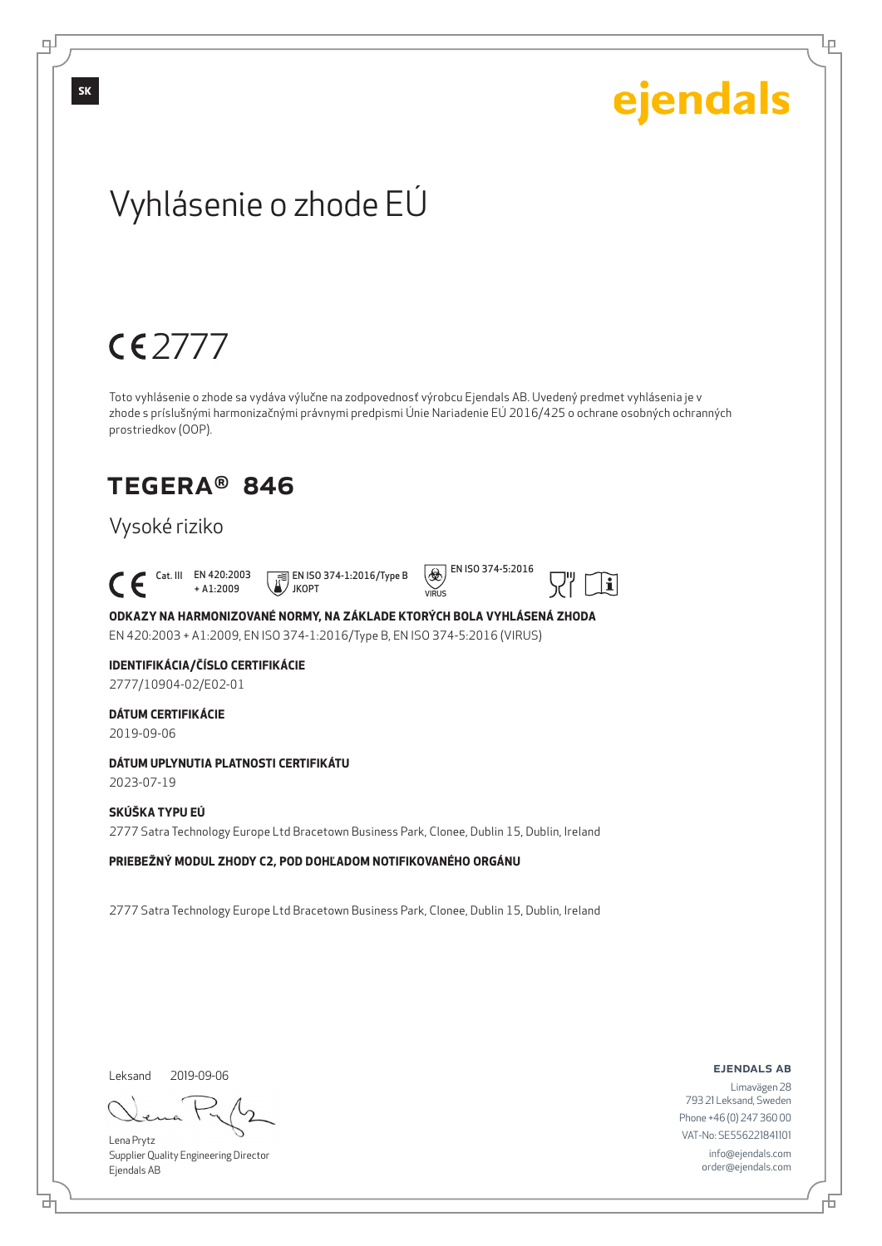Lр

## Vyhlásenie o zhode EÚ

## 2777

Toto vyhlásenie o zhode sa vydáva výlučne na zodpovednosť výrobcu Ejendals AB. Uvedený predmet vyhlásenia je v zhode s príslušnými harmonizačnými právnymi predpismi Únie Nariadenie EÚ 2016/425 o ochrane osobných ochranných prostriedkov (OOP).

 $VIDIR$ 

## TEGERA® 846

### Vysoké riziko

 Cat. III EN 420:2003 + A1:2009 JKOPT





 $|<sub>i</sub>$ 

### **ODKAZY NA HARMONIZOVANÉ NORMY, NA ZÁKLADE KTORÝCH BOLA VYHLÁSENÁ ZHODA**

EN 420:2003 + A1:2009, EN ISO 374-1:2016/Type B, EN ISO 374-5:2016 (VIRUS)

#### **IDENTIFIKÁCIA/ČÍSLO CERTIFIKÁCIE**

2777/10904-02/E02-01

#### **DÁTUM CERTIFIKÁCIE**

2019-09-06

#### **DÁTUM UPLYNUTIA PLATNOSTI CERTIFIKÁTU**

2023-07-19

#### **SKÚŠKA TYPU EÚ**

2777 Satra Technology Europe Ltd Bracetown Business Park, Clonee, Dublin 15, Dublin, Ireland

#### **PRIEBEŽNÝ MODUL ZHODY C2, POD DOHĽADOM NOTIFIKOVANÉHO ORGÁNU**

2777 Satra Technology Europe Ltd Bracetown Business Park, Clonee, Dublin 15, Dublin, Ireland

Leksand 2019-09-06

브

Lena Prytz Supplier Quality Engineering Director Ejendals AB

ejendals ab

Limavägen 28 793 21 Leksand, Sweden Phone +46 (0) 247 360 00 VAT-No: SE556221841101 info@ejendals.com order@ejendals.com

டி

**SK**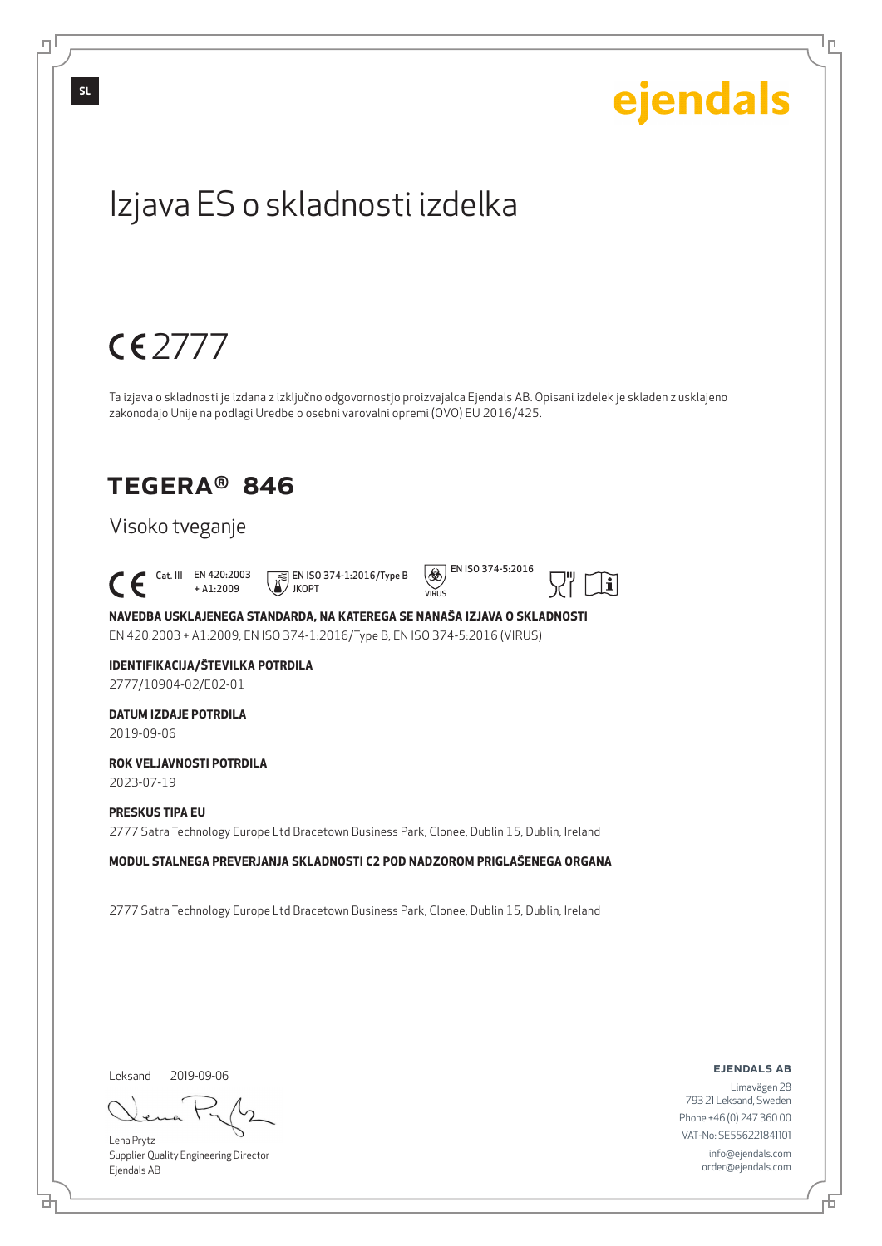## ejendals **SL**Izjava ES o skladnosti izdelka 2777 Ta izjava o skladnosti je izdana z izključno odgovornostjo proizvajalca Ejendals AB. Opisani izdelek je skladen z usklajeno zakonodajo Unije na podlagi Uredbe o osebni varovalni opremi (OVO) EU 2016/425. TEGERA® 846 Visoko tveganje  $\left(\bigotimes$  EN ISO 374-5:2016  $\begin{bmatrix} \begin{array}{ccc} \text{Cat. III} & \text{EN } 420:2003 \\ + \text{A1}:2009 \end{array} \end{bmatrix}$  EN ISO 374-1:2016/Type B  $|\mathbf{i}|$ + A1:2009 JKOPT  $VIDIR$ **NAVEDBA USKLAJENEGA STANDARDA, NA KATEREGA SE NANAŠA IZJAVA O SKLADNOSTI** EN 420:2003 + A1:2009, EN ISO 374-1:2016/Type B, EN ISO 374-5:2016 (VIRUS) **IDENTIFIKACIJA/ŠTEVILKA POTRDILA** 2777/10904-02/E02-01 **DATUM IZDAJE POTRDILA** 2019-09-06 **ROK VELJAVNOSTI POTRDILA** 2023-07-19 **PRESKUS TIPA EU** 2777 Satra Technology Europe Ltd Bracetown Business Park, Clonee, Dublin 15, Dublin, Ireland **MODUL STALNEGA PREVERJANJA SKLADNOSTI C2 POD NADZOROM PRIGLAŠENEGA ORGANA** 2777 Satra Technology Europe Ltd Bracetown Business Park, Clonee, Dublin 15, Dublin, Ireland

Leksand

브

டி

Lena Prytz Supplier Quality Engineering Director Ejendals AB

2019-09-06

ejendals ab

Lр

Limavägen 28 793 21 Leksand, Sweden Phone +46 (0) 247 360 00 VAT-No: SE556221841101 info@ejendals.com order@ejendals.com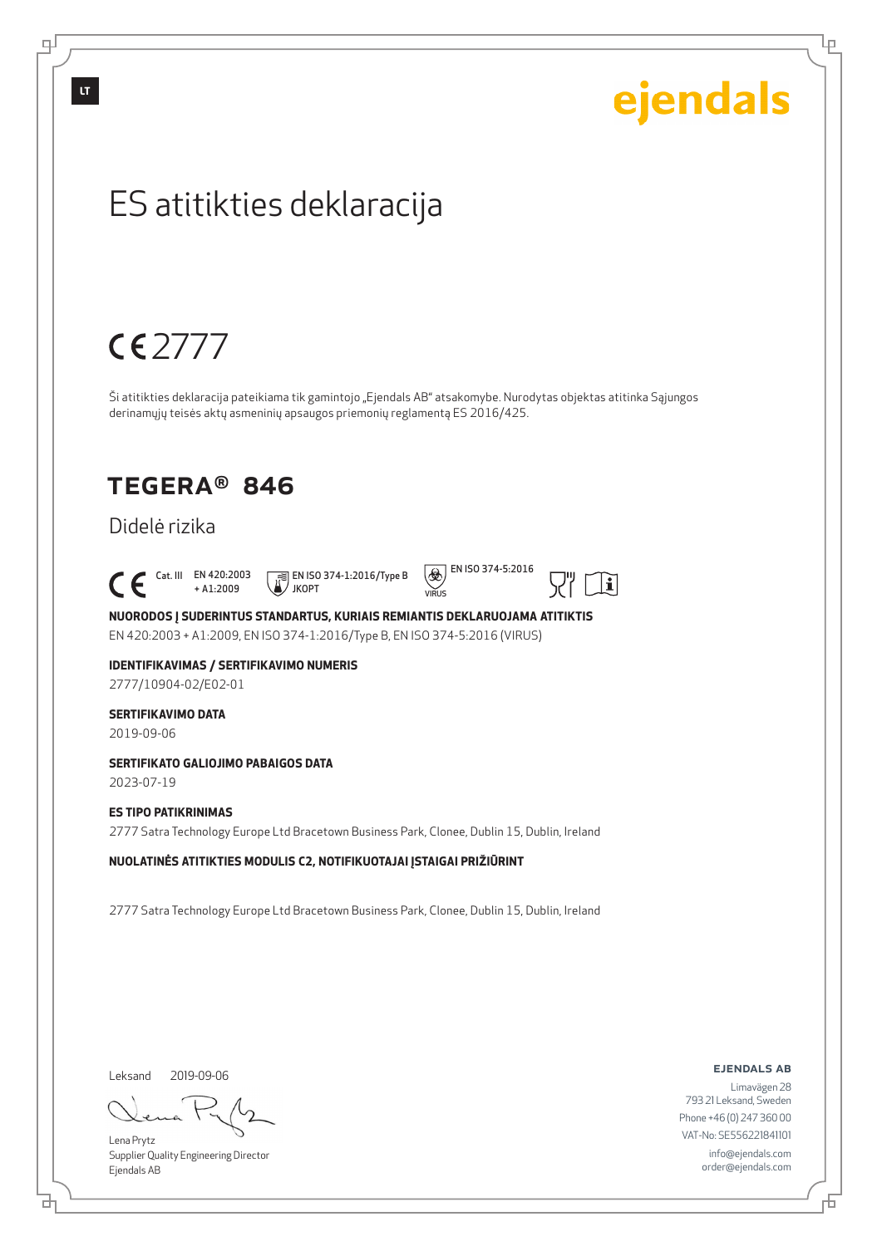**LT**

டி

ejendals

Lр

## ES atitikties deklaracija

## 2777

Ši atitikties deklaracija pateikiama tik gamintojo "Ejendals AB" atsakomybe. Nurodytas objektas atitinka Sąjungos derinamųjų teisės aktų asmeninių apsaugos priemonių reglamentą ES 2016/425.

## TEGERA® 846

### Didelė rizika

 $\begin{bmatrix} \begin{array}{ccc} \text{Cat. III} & \text{EN } 420:2003 \\ + \text{A1}:2009 \end{array} \end{bmatrix}$ 

+ A1:2009 JKOPT





 $|<sub>i</sub>$ 

**NUORODOS Į SUDERINTUS STANDARTUS, KURIAIS REMIANTIS DEKLARUOJAMA ATITIKTIS** EN 420:2003 + A1:2009, EN ISO 374-1:2016/Type B, EN ISO 374-5:2016 (VIRUS)

### **IDENTIFIKAVIMAS / SERTIFIKAVIMO NUMERIS**

2777/10904-02/E02-01

#### **SERTIFIKAVIMO DATA**

2019-09-06

#### **SERTIFIKATO GALIOJIMO PABAIGOS DATA**

2023-07-19

#### **ES TIPO PATIKRINIMAS**

2777 Satra Technology Europe Ltd Bracetown Business Park, Clonee, Dublin 15, Dublin, Ireland

**NUOLATINĖS ATITIKTIES MODULIS C2, NOTIFIKUOTAJAI ĮSTAIGAI PRIŽIŪRINT**

2777 Satra Technology Europe Ltd Bracetown Business Park, Clonee, Dublin 15, Dublin, Ireland

Leksand 2019-09-06

브

Lena Prytz Supplier Quality Engineering Director Ejendals AB

ejendals ab

Limavägen 28 793 21 Leksand, Sweden Phone +46 (0) 247 360 00 VAT-No: SE556221841101 info@ejendals.com order@ejendals.com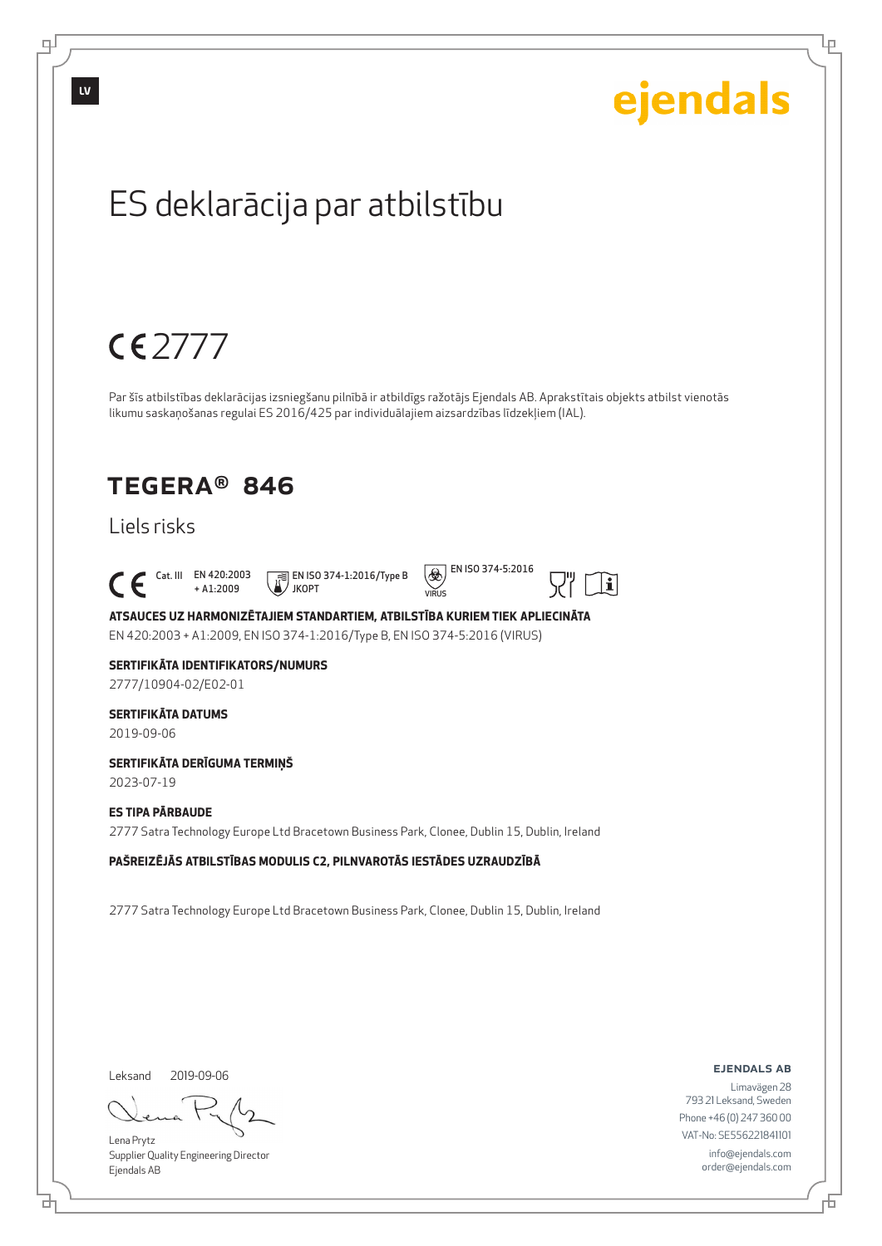

Supplier Quality Engineering Director Ejendals AB

브

டி

Lр

order@ejendals.com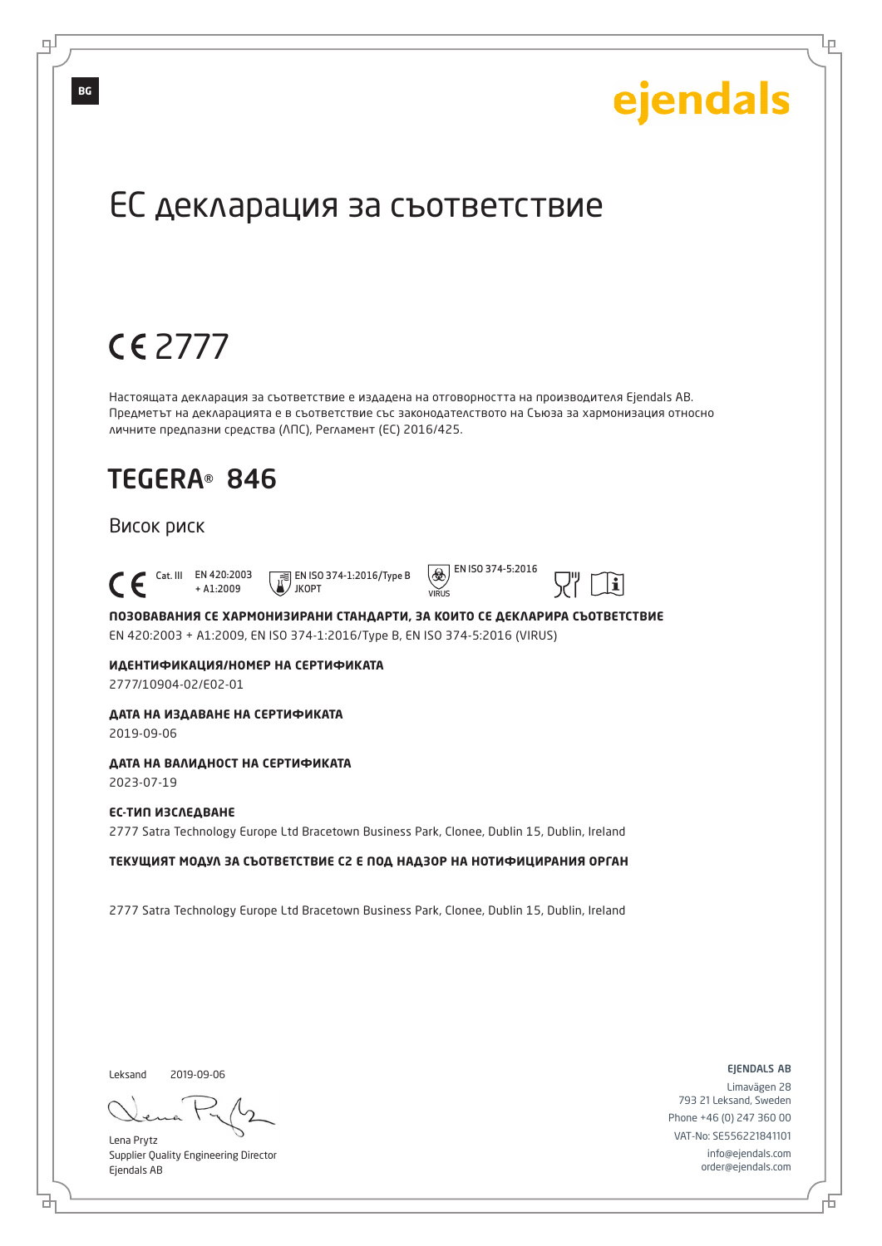Lр

## ЕС декларация за съответствие

## 2777

Настоящата декларация за съответствие е издадена на отговорността на производителя Ejendals AB. Предметът на декларацията е в съответствие със законодателството на Съюза за хармонизация относно личните предпазни средства (ЛПС), Регламент (ЕС) 2016/425.

## TEGERA® 846

#### Висок риск

 Cat. III EN 420:2003 + A1:2009



 $\circled{)}$  EN ISO 374-5:2016

VIRUS



**ПОЗОВАВАНИЯ СЕ ХАРМОНИЗИРАНИ СТАНДАРТИ, ЗА КОИТО СЕ ДЕКЛАРИРА СЪОТВЕТСТВИЕ** EN 420:2003 + A1:2009, EN ISO 374-1:2016/Type B, EN ISO 374-5:2016 (VIRUS)

### **ИДЕНТИФИКАЦИЯ/НОМЕР НА СЕРТИФИКАТА**

2777/10904-02/E02-01

### **ДАТА НА ИЗДАВАНЕ НА СЕРТИФИКАТА**

2019-09-06

#### **ДАТА НА ВАЛИДНОСТ НА СЕРТИФИКАТА**

2023-07-19

#### **ЕС-ТИП ИЗСЛЕДВАНЕ**

2777 Satra Technology Europe Ltd Bracetown Business Park, Clonee, Dublin 15, Dublin, Ireland

**ТЕКУЩИЯТ МОДУЛ ЗА СЪОТВЕТСТВИЕ C2 Е ПОД НАДЗОР НА НОТИФИЦИРАНИЯ ОРГАН**

2777 Satra Technology Europe Ltd Bracetown Business Park, Clonee, Dublin 15, Dublin, Ireland

Leksand

б

2019-09-06

Lena Prytz Supplier Quality Engineering Director Ejendals AB

ejendals ab

Б

Limavägen 28 793 21 Leksand, Sweden Phone +46 (0) 247 360 00 VAT-No: SE556221841101 info@ejendals.com order@ejendals.com

டி

**BG**